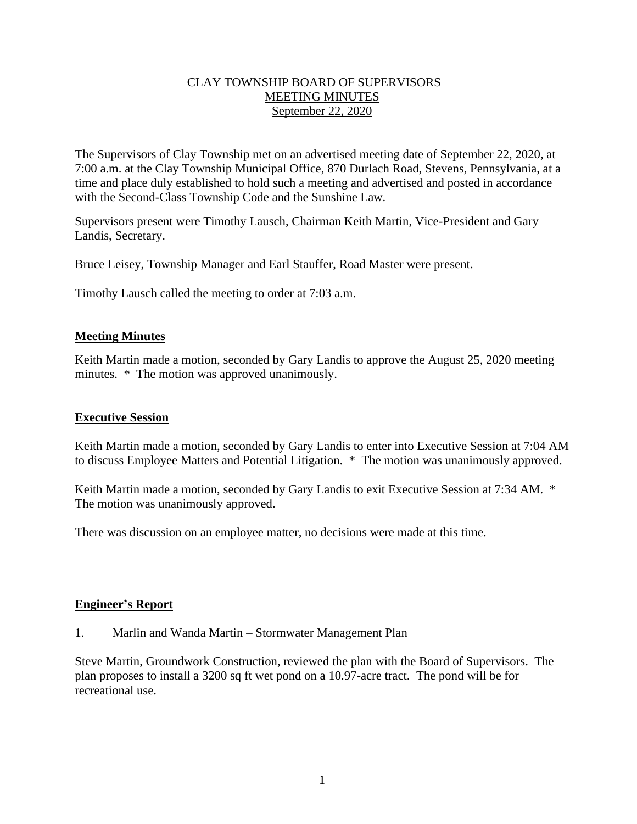## CLAY TOWNSHIP BOARD OF SUPERVISORS MEETING MINUTES September 22, 2020

The Supervisors of Clay Township met on an advertised meeting date of September 22, 2020, at 7:00 a.m. at the Clay Township Municipal Office, 870 Durlach Road, Stevens, Pennsylvania, at a time and place duly established to hold such a meeting and advertised and posted in accordance with the Second-Class Township Code and the Sunshine Law.

Supervisors present were Timothy Lausch, Chairman Keith Martin, Vice-President and Gary Landis, Secretary.

Bruce Leisey, Township Manager and Earl Stauffer, Road Master were present.

Timothy Lausch called the meeting to order at 7:03 a.m.

## **Meeting Minutes**

Keith Martin made a motion, seconded by Gary Landis to approve the August 25, 2020 meeting minutes. \* The motion was approved unanimously.

#### **Executive Session**

Keith Martin made a motion, seconded by Gary Landis to enter into Executive Session at 7:04 AM to discuss Employee Matters and Potential Litigation. \* The motion was unanimously approved.

Keith Martin made a motion, seconded by Gary Landis to exit Executive Session at 7:34 AM. \* The motion was unanimously approved.

There was discussion on an employee matter, no decisions were made at this time.

#### **Engineer's Report**

1. Marlin and Wanda Martin – Stormwater Management Plan

Steve Martin, Groundwork Construction, reviewed the plan with the Board of Supervisors. The plan proposes to install a 3200 sq ft wet pond on a 10.97-acre tract. The pond will be for recreational use.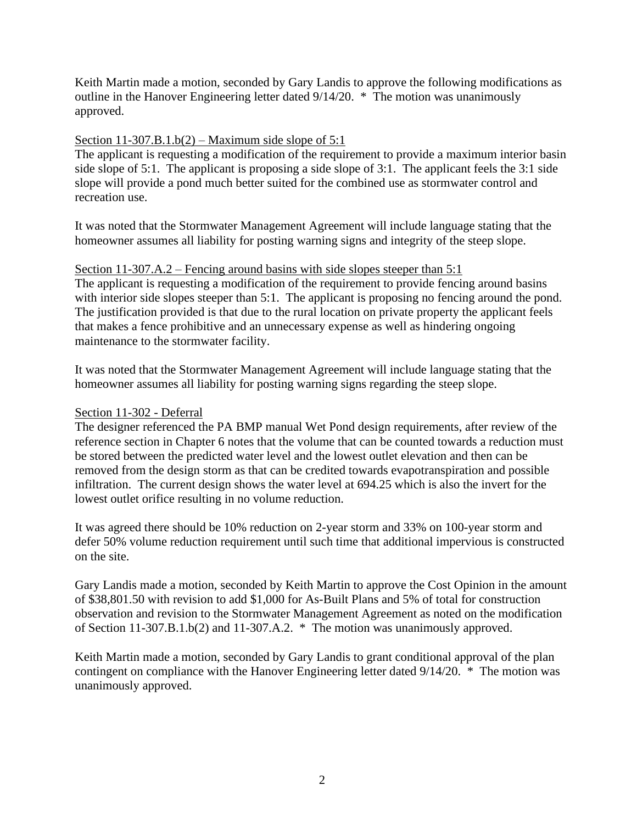Keith Martin made a motion, seconded by Gary Landis to approve the following modifications as outline in the Hanover Engineering letter dated 9/14/20. \* The motion was unanimously approved.

## Section  $11-307.B.1.b(2)$  – Maximum side slope of 5:1

The applicant is requesting a modification of the requirement to provide a maximum interior basin side slope of 5:1. The applicant is proposing a side slope of 3:1. The applicant feels the 3:1 side slope will provide a pond much better suited for the combined use as stormwater control and recreation use.

It was noted that the Stormwater Management Agreement will include language stating that the homeowner assumes all liability for posting warning signs and integrity of the steep slope.

#### Section 11-307.A.2 – Fencing around basins with side slopes steeper than 5:1

The applicant is requesting a modification of the requirement to provide fencing around basins with interior side slopes steeper than 5:1. The applicant is proposing no fencing around the pond. The justification provided is that due to the rural location on private property the applicant feels that makes a fence prohibitive and an unnecessary expense as well as hindering ongoing maintenance to the stormwater facility.

It was noted that the Stormwater Management Agreement will include language stating that the homeowner assumes all liability for posting warning signs regarding the steep slope.

#### Section 11-302 - Deferral

The designer referenced the PA BMP manual Wet Pond design requirements, after review of the reference section in Chapter 6 notes that the volume that can be counted towards a reduction must be stored between the predicted water level and the lowest outlet elevation and then can be removed from the design storm as that can be credited towards evapotranspiration and possible infiltration. The current design shows the water level at 694.25 which is also the invert for the lowest outlet orifice resulting in no volume reduction.

It was agreed there should be 10% reduction on 2-year storm and 33% on 100-year storm and defer 50% volume reduction requirement until such time that additional impervious is constructed on the site.

Gary Landis made a motion, seconded by Keith Martin to approve the Cost Opinion in the amount of \$38,801.50 with revision to add \$1,000 for As-Built Plans and 5% of total for construction observation and revision to the Stormwater Management Agreement as noted on the modification of Section 11-307.B.1.b(2) and 11-307.A.2. \* The motion was unanimously approved.

Keith Martin made a motion, seconded by Gary Landis to grant conditional approval of the plan contingent on compliance with the Hanover Engineering letter dated 9/14/20. \* The motion was unanimously approved.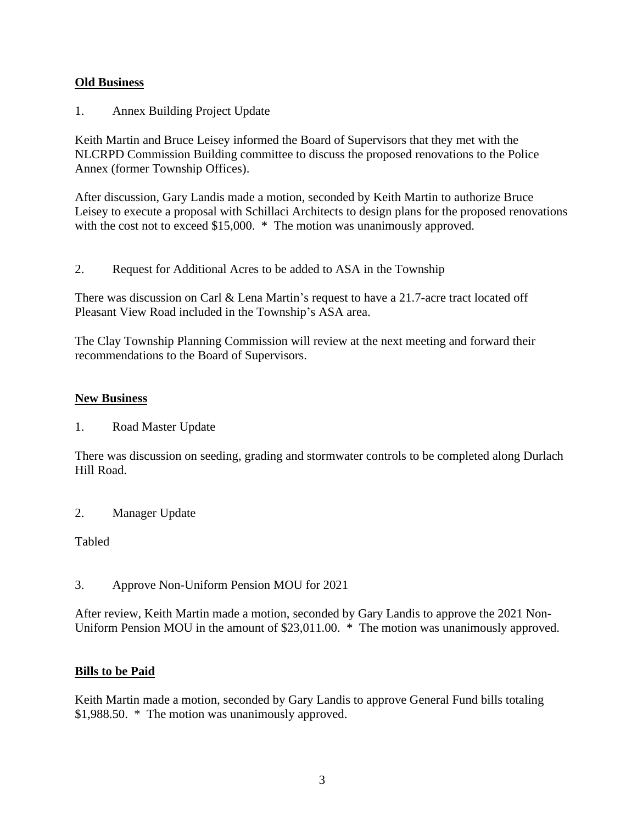## **Old Business**

1. Annex Building Project Update

Keith Martin and Bruce Leisey informed the Board of Supervisors that they met with the NLCRPD Commission Building committee to discuss the proposed renovations to the Police Annex (former Township Offices).

After discussion, Gary Landis made a motion, seconded by Keith Martin to authorize Bruce Leisey to execute a proposal with Schillaci Architects to design plans for the proposed renovations with the cost not to exceed \$15,000. \* The motion was unanimously approved.

2. Request for Additional Acres to be added to ASA in the Township

There was discussion on Carl & Lena Martin's request to have a 21.7-acre tract located off Pleasant View Road included in the Township's ASA area.

The Clay Township Planning Commission will review at the next meeting and forward their recommendations to the Board of Supervisors.

#### **New Business**

1. Road Master Update

There was discussion on seeding, grading and stormwater controls to be completed along Durlach Hill Road.

2. Manager Update

Tabled

3. Approve Non-Uniform Pension MOU for 2021

After review, Keith Martin made a motion, seconded by Gary Landis to approve the 2021 Non-Uniform Pension MOU in the amount of \$23,011.00. \* The motion was unanimously approved.

# **Bills to be Paid**

Keith Martin made a motion, seconded by Gary Landis to approve General Fund bills totaling \$1,988.50. \* The motion was unanimously approved.